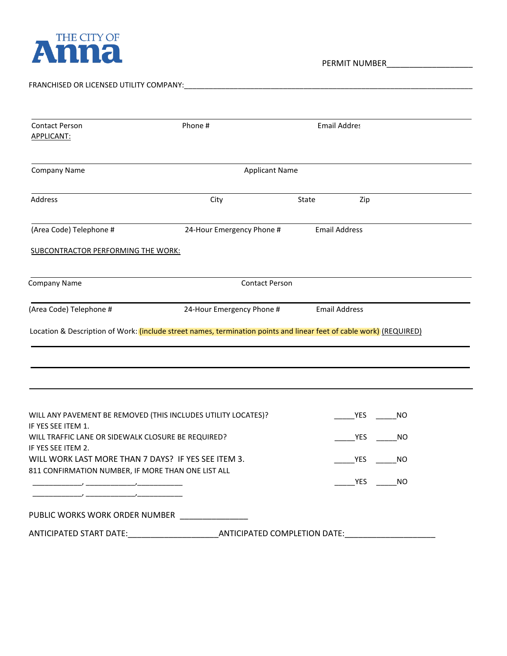

FRANCHISED OR LICENSED UTILITY COMPANY:\_\_\_\_\_\_\_\_\_\_\_\_\_\_\_\_\_\_\_\_\_\_\_\_\_\_\_\_\_\_\_\_\_\_\_\_\_\_\_\_\_\_\_\_\_\_\_\_\_\_\_\_\_\_\_\_\_\_\_\_\_\_\_\_\_\_\_\_\_\_

PERMIT NUMBER\_\_\_\_\_\_\_\_\_\_\_\_\_\_\_\_\_\_\_

| <b>Contact Person</b><br><b>APPLICANT:</b>                                                                | Phone #                                                                                                             |              | <b>Email Addres</b>  |  |
|-----------------------------------------------------------------------------------------------------------|---------------------------------------------------------------------------------------------------------------------|--------------|----------------------|--|
| <b>Company Name</b>                                                                                       | <b>Applicant Name</b>                                                                                               |              |                      |  |
| Address                                                                                                   | City                                                                                                                | <b>State</b> | Zip                  |  |
| (Area Code) Telephone #                                                                                   | 24-Hour Emergency Phone #                                                                                           |              | <b>Email Address</b> |  |
| <b>SUBCONTRACTOR PERFORMING THE WORK:</b>                                                                 |                                                                                                                     |              |                      |  |
| <b>Company Name</b>                                                                                       | <b>Contact Person</b>                                                                                               |              |                      |  |
| (Area Code) Telephone #                                                                                   | 24-Hour Emergency Phone #                                                                                           |              | <b>Email Address</b> |  |
|                                                                                                           | Location & Description of Work: (include street names, termination points and linear feet of cable work) (REQUIRED) |              |                      |  |
|                                                                                                           | WILL ANY PAVEMENT BE REMOVED (THIS INCLUDES UTILITY LOCATES)?                                                       |              | YES<br>ΝO            |  |
| IF YES SEE ITEM 1.<br>WILL TRAFFIC LANE OR SIDEWALK CLOSURE BE REQUIRED?<br>IF YES SEE ITEM 2.            |                                                                                                                     |              | YES<br>NO            |  |
| WILL WORK LAST MORE THAN 7 DAYS? IF YES SEE ITEM 3.<br>811 CONFIRMATION NUMBER, IF MORE THAN ONE LIST ALL |                                                                                                                     |              | YES<br>ΝO            |  |
|                                                                                                           |                                                                                                                     |              | YES<br><b>NO</b>     |  |
|                                                                                                           |                                                                                                                     |              |                      |  |
|                                                                                                           | PUBLIC WORKS WORK ORDER NUMBER                                                                                      |              |                      |  |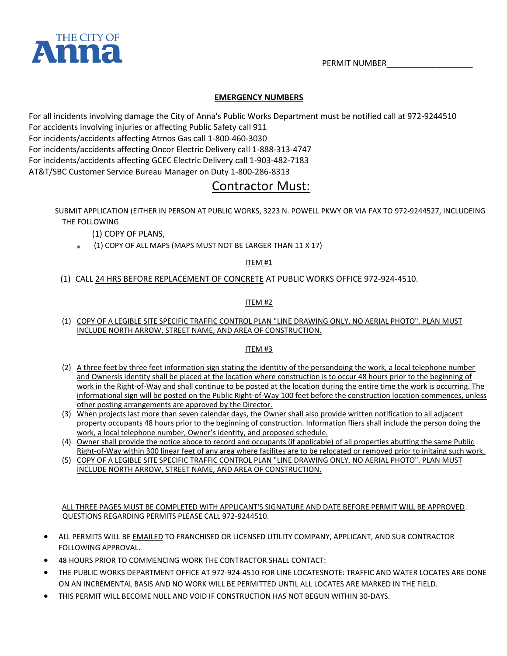

PERMIT NUMBER

## **EMERGENCY NUMBERS**

For all incidents involving damage the City of Anna's Public Works Department must be notified call at 972-9244510 For accidents involving injuries or affecting Public Safety call 911 For incidents/accidents affecting Atmos Gas call 1-800-460-3030 For incidents/accidents affecting Oncor Electric Delivery call 1-888-313-4747 For incidents/accidents affecting GCEC Electric Delivery call 1-903-482-7183 AT&T/SBC Customer Service Bureau Manager on Duty 1-800-286-8313

# Contractor Must:

 SUBMIT APPLICATION (EITHER IN PERSON AT PUBLIC WORKS, 3223 N. POWELL PKWY OR VIA FAX TO 972-9244527, INCLUDEING THE FOLLOWING

- (1) COPY OF PLANS,
- (1) COPY OF ALL MAPS (MAPS MUST NOT BE LARGER THAN 11 X 17)

## ITEM #1

(1) CALL 24 HRS BEFORE REPLACEMENT OF CONCRETE AT PUBLIC WORKS OFFICE 972-924-4510.

### ITEM #2

(1) COPY OF A LEGIBLE SITE SPECIFIC TRAFFIC CONTROL PLAN "LINE DRAWING ONLY, NO AERIAL PHOTO". PLAN MUST INCLUDE NORTH ARROW, STREET NAME, AND AREA OF CONSTRUCTION.

### ITEM #3

- (2) A three feet by three feet information sign stating the identitiy of the persondoing the work, a local telephone number and Ownersls identity shall be placed at the location where construction is to occur 48 hours prior to the beginning of work in the Right-of-Way and shall continue to be posted at the location during the entire time the work is occurring. The informational sign will be posted on the Public Right-of-Way 100 feet before the construction location commences, unless other posting arrangements are approved by the Director.
- (3) When projects last more than seven calendar days, the Owner shall also provide written notification to all adjacent property occupants 48 hours prior to the beginning of construction. Information fliers shall include the person doing the work, a local telephone number, Owner's identity, and proposed schedule.
- (4) Owner shall provide the notice aboce to record and occupants (if applicable) of all properties abutting the same Public Right-of-Way within 300 linear feet of any area where facilites are to be relocated or removed prior to initaing such work.
- (5) COPY OF A LEGIBLE SITE SPECIFIC TRAFFIC CONTROL PLAN "LINE DRAWING ONLY, NO AERIAL PHOTO". PLAN MUST INCLUDE NORTH ARROW, STREET NAME, AND AREA OF CONSTRUCTION.

ALL THREE PAGES MUST BE COMPLETED WITH APPLICANT'S SIGNATURE AND DATE BEFORE PERMIT WILL BE APPROVED. QUESTIONS REGARDING PERMITS PLEASE CALL 972-9244510.

- ALL PERMITS WILL BE EMAILED TO FRANCHISED OR LICENSED UTILITY COMPANY, APPLICANT, AND SUB CONTRACTOR FOLLOWING APPROVAL.
- 48 HOURS PRIOR TO COMMENCING WORK THE CONTRACTOR SHALL CONTACT:
- THE PUBLIC WORKS DEPARTMENT OFFICE AT 972-924-4510 FOR LINE LOCATESNOTE: TRAFFIC AND WATER LOCATES ARE DONE ON AN INCREMENTAL BASIS AND NO WORK WILL BE PERMITTED UNTIL ALL LOCATES ARE MARKED IN THE FIELD.
- THIS PERMIT WILL BECOME NULL AND VOID IF CONSTRUCTION HAS NOT BEGUN WITHIN 30-DAYS.